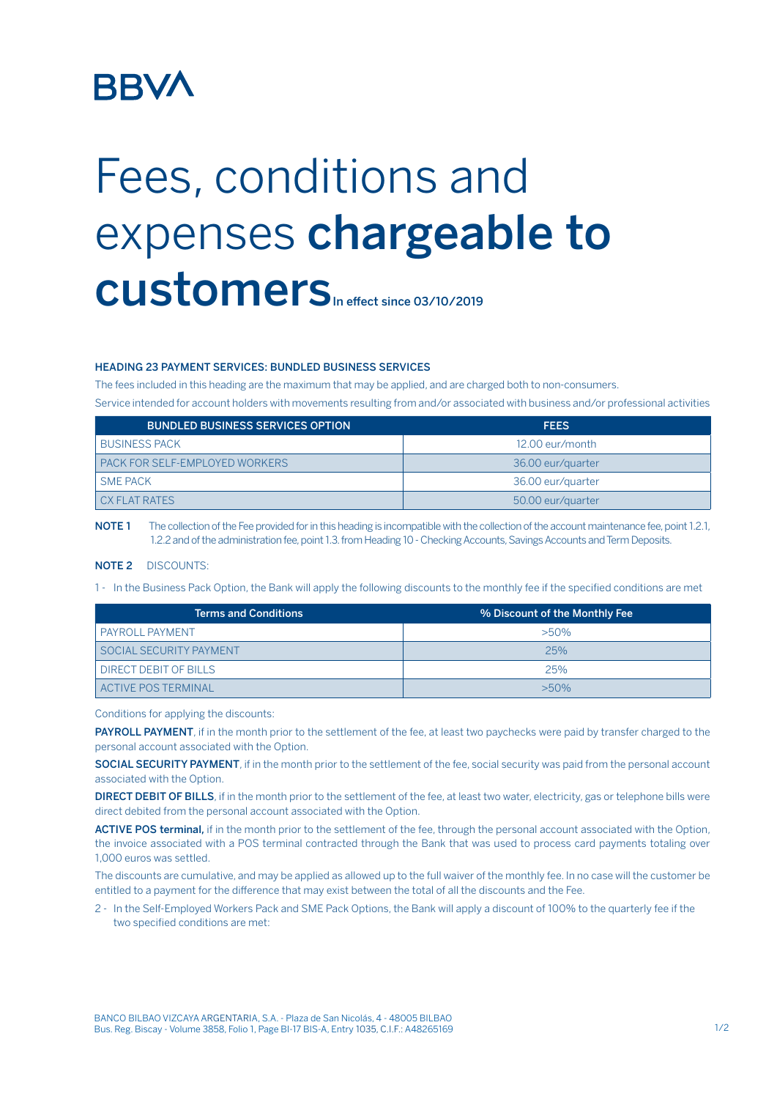# **BBV/**

# Fees, conditions and expenses chargeable to CUStomers<sub>In effect since 03/10/2019</sub>

### HEADING 23 PAYMENT SERVICES: BUNDLED BUSINESS SERVICES

The fees included in this heading are the maximum that may be applied, and are charged both to non-consumers.

Service intended for account holders with movements resulting from and/or associated with business and/or professional activities

| <b>BUNDLED BUSINESS SERVICES OPTION</b> | <b>FEES</b>       |
|-----------------------------------------|-------------------|
| <b>BUSINESS PACK</b>                    | 12.00 eur/month   |
| PACK FOR SELF-EMPLOYED WORKERS          | 36.00 eur/quarter |
| <b>SME PACK</b>                         | 36.00 eur/quarter |
| <b>CX FLAT RATES</b>                    | 50.00 eur/quarter |

NOTE 1 The collection of the Fee provided for in this heading is incompatible with the collection of the account maintenance fee, point 1.2.1, 1.2.2 and of the administration fee, point 1.3. from Heading 10 - Checking Accounts, Savings Accounts and Term Deposits.

### NOTE 2 DISCOUNTS:

1 - In the Business Pack Option, the Bank will apply the following discounts to the monthly fee if the specified conditions are met

| <b>Terms and Conditions</b>  | % Discount of the Monthly Fee |
|------------------------------|-------------------------------|
| <b>PAYROLL PAYMENT</b>       | $>50\%$                       |
| SOCIAL SECURITY PAYMENT      | 25%                           |
| <b>DIRECT DEBIT OF BILLS</b> | 25%                           |
| ACTIVE POS TERMINAL          | $>50\%$                       |

Conditions for applying the discounts:

PAYROLL PAYMENT, if in the month prior to the settlement of the fee, at least two paychecks were paid by transfer charged to the personal account associated with the Option.

SOCIAL SECURITY PAYMENT, if in the month prior to the settlement of the fee, social security was paid from the personal account associated with the Option.

DIRECT DEBIT OF BILLS, if in the month prior to the settlement of the fee, at least two water, electricity, gas or telephone bills were direct debited from the personal account associated with the Option.

ACTIVE POS terminal, if in the month prior to the settlement of the fee, through the personal account associated with the Option. the invoice associated with a POS terminal contracted through the Bank that was used to process card payments totaling over 1,000 euros was settled.

The discounts are cumulative, and may be applied as allowed up to the full waiver of the monthly fee. In no case will the customer be entitled to a payment for the difference that may exist between the total of all the discounts and the Fee.

2 - In the Self-Employed Workers Pack and SME Pack Options, the Bank will apply a discount of 100% to the quarterly fee if the two specified conditions are met: